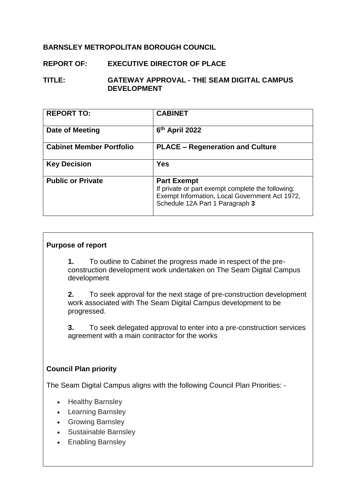## **BARNSLEY METROPOLITAN BOROUGH COUNCIL**

# **REPORT OF: EXECUTIVE DIRECTOR OF PLACE**

#### **TITLE: GATEWAY APPROVAL - THE SEAM DIGITAL CAMPUS DEVELOPMENT**

| <b>REPORT TO:</b>               | <b>CABINET</b>                                                                                                                                               |
|---------------------------------|--------------------------------------------------------------------------------------------------------------------------------------------------------------|
| Date of Meeting                 | 6 <sup>th</sup> April 2022                                                                                                                                   |
| <b>Cabinet Member Portfolio</b> | <b>PLACE - Regeneration and Culture</b>                                                                                                                      |
| <b>Key Decision</b>             | <b>Yes</b>                                                                                                                                                   |
| <b>Public or Private</b>        | <b>Part Exempt</b><br>If private or part exempt complete the following:<br>Exempt Information, Local Government Act 1972,<br>Schedule 12A Part 1 Paragraph 3 |

#### **Purpose of report**

**1.** To outline to Cabinet the progress made in respect of the preconstruction development work undertaken on The Seam Digital Campus development

**2.** To seek approval for the next stage of pre-construction development work associated with The Seam Digital Campus development to be progressed.

**3.** To seek delegated approval to enter into a pre-construction services agreement with a main contractor for the works

#### **Council Plan priority**

The Seam Digital Campus aligns with the following Council Plan Priorities: -

- Healthy Barnsley
- Learning Barnsley
- **•** Growing Barnsley
- Sustainable Barnsley
- Enabling Barnsley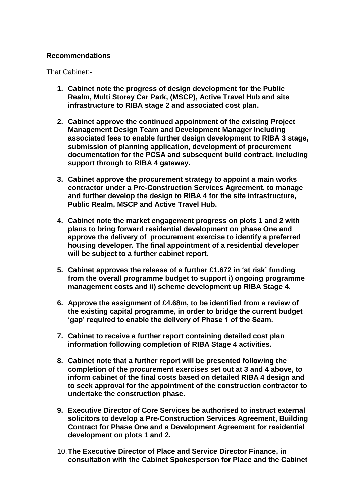### **Recommendations**

That Cabinet:-

- **1. Cabinet note the progress of design development for the Public Realm, Multi Storey Car Park, (MSCP), Active Travel Hub and site infrastructure to RIBA stage 2 and associated cost plan.**
- **2. Cabinet approve the continued appointment of the existing Project Management Design Team and Development Manager Including associated fees to enable further design development to RIBA 3 stage, submission of planning application, development of procurement documentation for the PCSA and subsequent build contract, including support through to RIBA 4 gateway.**
- **3. Cabinet approve the procurement strategy to appoint a main works contractor under a Pre-Construction Services Agreement, to manage and further develop the design to RIBA 4 for the site infrastructure, Public Realm, MSCP and Active Travel Hub.**
- **4. Cabinet note the market engagement progress on plots 1 and 2 with plans to bring forward residential development on phase One and approve the delivery of procurement exercise to identify a preferred housing developer. The final appointment of a residential developer will be subject to a further cabinet report.**
- **5. Cabinet approves the release of a further £1.672 in 'at risk' funding from the overall programme budget to support i) ongoing programme management costs and ii) scheme development up RIBA Stage 4.**
- **6. Approve the assignment of £4.68m, to be identified from a review of the existing capital programme, in order to bridge the current budget 'gap' required to enable the delivery of Phase 1 of the Seam.**
- **7. Cabinet to receive a further report containing detailed cost plan information following completion of RIBA Stage 4 activities.**
- **8. Cabinet note that a further report will be presented following the completion of the procurement exercises set out at 3 and 4 above, to inform cabinet of the final costs based on detailed RIBA 4 design and to seek approval for the appointment of the construction contractor to undertake the construction phase.**
- **9. Executive Director of Core Services be authorised to instruct external solicitors to develop a Pre-Construction Services Agreement, Building Contract for Phase One and a Development Agreement for residential development on plots 1 and 2.**
- 10.**The Executive Director of Place and Service Director Finance, in consultation with the Cabinet Spokesperson for Place and the Cabinet**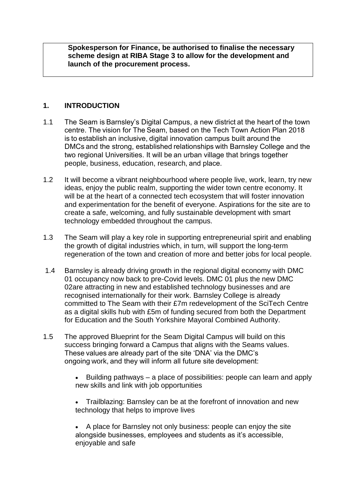**Spokesperson for Finance, be authorised to finalise the necessary scheme design at RIBA Stage 3 to allow for the development and launch of the procurement process.**

## **1. INTRODUCTION**

- 1.1 The Seam is Barnsley's Digital Campus, a new district at the heart of the town centre. The vision for The Seam, based on the Tech Town Action Plan 2018 is to establish an inclusive, digital innovation campus built around the DMCs and the strong, established relationships with Barnsley College and the two regional Universities. It will be an urban village that brings together people, business, education, research, and place.
- 1.2 It will become a vibrant neighbourhood where people live, work, learn, try new ideas, enjoy the public realm, supporting the wider town centre economy. It will be at the heart of a connected tech ecosystem that will foster innovation and experimentation for the benefit of everyone. Aspirations for the site are to create a safe, welcoming, and fully sustainable development with smart technology embedded throughout the campus.
- 1.3 The Seam will play a key role in supporting entrepreneurial spirit and enabling the growth of digital industries which, in turn, will support the long-term regeneration of the town and creation of more and better jobs for local people.
- 1.4 Barnsley is already driving growth in the regional digital economy with DMC 01 occupancy now back to pre-Covid levels. DMC 01 plus the new DMC 02are attracting in new and established technology businesses and are recognised internationally for their work. Barnsley College is already committed to The Seam with their £7m redevelopment of the SciTech Centre as a digital skills hub with £5m of funding secured from both the Department for Education and the South Yorkshire Mayoral Combined Authority.
- 1.5 The approved Blueprint for the Seam Digital Campus will build on this success bringing forward a Campus that aligns with the Seams values. These values are already part of the site 'DNA' via the DMC's ongoing work, and they will inform all future site development:
	- Building pathways a place of possibilities: people can learn and apply new skills and link with job opportunities
	- Trailblazing: Barnsley can be at the forefront of innovation and new technology that helps to improve lives
	- A place for Barnsley not only business: people can enjoy the site alongside businesses, employees and students as it's accessible, enjoyable and safe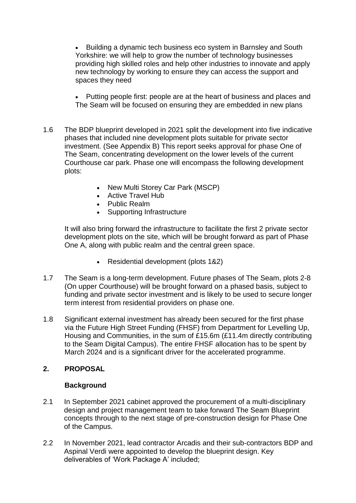Building a dynamic tech business eco system in Barnsley and South Yorkshire: we will help to grow the number of technology businesses providing high skilled roles and help other industries to innovate and apply new technology by working to ensure they can access the support and spaces they need

- Putting people first: people are at the heart of business and places and The Seam will be focused on ensuring they are embedded in new plans
- 1.6 The BDP blueprint developed in 2021 split the development into five indicative phases that included nine development plots suitable for private sector investment. (See Appendix B) This report seeks approval for phase One of The Seam, concentrating development on the lower levels of the current Courthouse car park. Phase one will encompass the following development plots:
	- New Multi Storey Car Park (MSCP)
	- Active Travel Hub
	- Public Realm
	- Supporting Infrastructure

It will also bring forward the infrastructure to facilitate the first 2 private sector development plots on the site, which will be brought forward as part of Phase One A, along with public realm and the central green space.

- Residential development (plots 1&2)
- 1.7 The Seam is a long-term development. Future phases of The Seam, plots 2-8 (On upper Courthouse) will be brought forward on a phased basis, subject to funding and private sector investment and is likely to be used to secure longer term interest from residential providers on phase one.
- 1.8 Significant external investment has already been secured for the first phase via the Future High Street Funding (FHSF) from Department for Levelling Up, Housing and Communities, in the sum of £15.6m (£11.4m directly contributing to the Seam Digital Campus). The entire FHSF allocation has to be spent by March 2024 and is a significant driver for the accelerated programme.

## **2. PROPOSAL**

#### **Background**

- 2.1 In September 2021 cabinet approved the procurement of a multi-disciplinary design and project management team to take forward The Seam Blueprint concepts through to the next stage of pre-construction design for Phase One of the Campus.
- 2.2 In November 2021, lead contractor Arcadis and their sub-contractors BDP and Aspinal Verdi were appointed to develop the blueprint design. Key deliverables of 'Work Package A' included;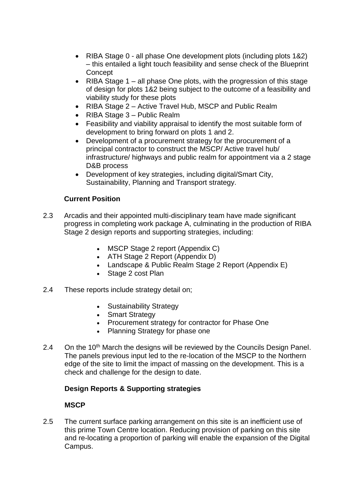- RIBA Stage 0 all phase One development plots (including plots 1&2) – this entailed a light touch feasibility and sense check of the Blueprint **Concept**
- RIBA Stage  $1$  all phase One plots, with the progression of this stage of design for plots 1&2 being subject to the outcome of a feasibility and viability study for these plots
- RIBA Stage 2 Active Travel Hub, MSCP and Public Realm
- RIBA Stage 3 Public Realm
- Feasibility and viability appraisal to identify the most suitable form of development to bring forward on plots 1 and 2.
- Development of a procurement strategy for the procurement of a principal contractor to construct the MSCP/ Active travel hub/ infrastructure/ highways and public realm for appointment via a 2 stage D&B process
- Development of key strategies, including digital/Smart City, Sustainability, Planning and Transport strategy.

## **Current Position**

- 2.3 Arcadis and their appointed multi-disciplinary team have made significant progress in completing work package A, culminating in the production of RIBA Stage 2 design reports and supporting strategies, including:
	- MSCP Stage 2 report (Appendix C)
	- ATH Stage 2 Report (Appendix D)
	- Landscape & Public Realm Stage 2 Report (Appendix E)
	- Stage 2 cost Plan
- 2.4 These reports include strategy detail on;
	- Sustainability Strategy
	- Smart Strategy
	- Procurement strategy for contractor for Phase One
	- Planning Strategy for phase one
- 2.4 On the 10<sup>th</sup> March the designs will be reviewed by the Councils Design Panel. The panels previous input led to the re-location of the MSCP to the Northern edge of the site to limit the impact of massing on the development. This is a check and challenge for the design to date.

## **Design Reports & Supporting strategies**

## **MSCP**

2.5 The current surface parking arrangement on this site is an inefficient use of this prime Town Centre location. Reducing provision of parking on this site and re-locating a proportion of parking will enable the expansion of the Digital Campus.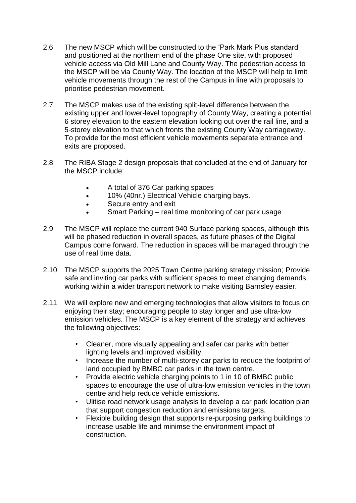- 2.6 The new MSCP which will be constructed to the 'Park Mark Plus standard' and positioned at the northern end of the phase One site, with proposed vehicle access via Old Mill Lane and County Way. The pedestrian access to the MSCP will be via County Way. The location of the MSCP will help to limit vehicle movements through the rest of the Campus in line with proposals to prioritise pedestrian movement.
- 2.7 The MSCP makes use of the existing split-level difference between the existing upper and lower-level topography of County Way, creating a potential 6 storey elevation to the eastern elevation looking out over the rail line, and a 5-storey elevation to that which fronts the existing County Way carriageway. To provide for the most efficient vehicle movements separate entrance and exits are proposed.
- 2.8 The RIBA Stage 2 design proposals that concluded at the end of January for the MSCP include:
	- A total of 376 Car parking spaces
	- 10% (40nr.) Electrical Vehicle charging bays.
	- Secure entry and exit
	- Smart Parking real time monitoring of car park usage
- 2.9 The MSCP will replace the current 940 Surface parking spaces, although this will be phased reduction in overall spaces, as future phases of the Digital Campus come forward. The reduction in spaces will be managed through the use of real time data.
- 2.10 The MSCP supports the 2025 Town Centre parking strategy mission; Provide safe and inviting car parks with sufficient spaces to meet changing demands; working within a wider transport network to make visiting Barnsley easier.
- 2.11 We will explore new and emerging technologies that allow visitors to focus on enjoying their stay; encouraging people to stay longer and use ultra-low emission vehicles. The MSCP is a key element of the strategy and achieves the following objectives:
	- Cleaner, more visually appealing and safer car parks with better lighting levels and improved visibility.
	- Increase the number of multi-storey car parks to reduce the footprint of land occupied by BMBC car parks in the town centre.
	- Provide electric vehicle charging points to 1 in 10 of BMBC public spaces to encourage the use of ultra-low emission vehicles in the town centre and help reduce vehicle emissions.
	- Ulitise road network usage analysis to develop a car park location plan that support congestion reduction and emissions targets.
	- Flexible building design that supports re-purposing parking buildings to increase usable life and minimse the environment impact of construction.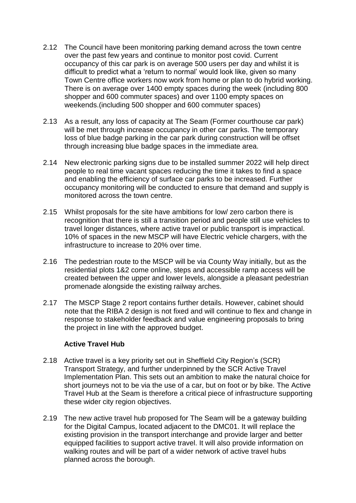- 2.12 The Council have been monitoring parking demand across the town centre over the past few years and continue to monitor post covid. Current occupancy of this car park is on average 500 users per day and whilst it is difficult to predict what a 'return to normal' would look like, given so many Town Centre office workers now work from home or plan to do hybrid working. There is on average over 1400 empty spaces during the week (including 800 shopper and 600 commuter spaces) and over 1100 empty spaces on weekends.(including 500 shopper and 600 commuter spaces)
- 2.13 As a result, any loss of capacity at The Seam (Former courthouse car park) will be met through increase occupancy in other car parks. The temporary loss of blue badge parking in the car park during construction will be offset through increasing blue badge spaces in the immediate area.
- 2.14 New electronic parking signs due to be installed summer 2022 will help direct people to real time vacant spaces reducing the time it takes to find a space and enabling the efficiency of surface car parks to be increased. Further occupancy monitoring will be conducted to ensure that demand and supply is monitored across the town centre.
- 2.15 Whilst proposals for the site have ambitions for low/ zero carbon there is recognition that there is still a transition period and people still use vehicles to travel longer distances, where active travel or public transport is impractical. 10% of spaces in the new MSCP will have Electric vehicle chargers, with the infrastructure to increase to 20% over time.
- 2.16 The pedestrian route to the MSCP will be via County Way initially, but as the residential plots 1&2 come online, steps and accessible ramp access will be created between the upper and lower levels, alongside a pleasant pedestrian promenade alongside the existing railway arches.
- 2.17 The MSCP Stage 2 report contains further details. However, cabinet should note that the RIBA 2 design is not fixed and will continue to flex and change in response to stakeholder feedback and value engineering proposals to bring the project in line with the approved budget.

#### **Active Travel Hub**

- 2.18 Active travel is a key priority set out in Sheffield City Region's (SCR) Transport Strategy, and further underpinned by the SCR Active Travel Implementation Plan. This sets out an ambition to make the natural choice for short journeys not to be via the use of a car, but on foot or by bike. The Active Travel Hub at the Seam is therefore a critical piece of infrastructure supporting these wider city region objectives.
- 2.19 The new active travel hub proposed for The Seam will be a gateway building for the Digital Campus, located adjacent to the DMC01. It will replace the existing provision in the transport interchange and provide larger and better equipped facilities to support active travel. It will also provide information on walking routes and will be part of a wider network of active travel hubs planned across the borough.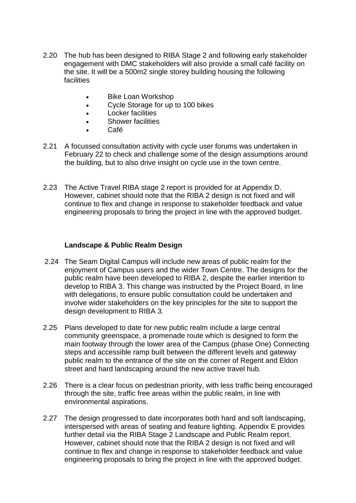- 2.20 The hub has been designed to RIBA Stage 2 and following early stakeholder engagement with DMC stakeholders will also provide a small café facility on the site. It will be a 500m2 single storey building housing the following facilities
	- Bike Loan Workshop
	- Cycle Storage for up to 100 bikes
	- Locker facilities
	- **•** Shower facilities
	- Café
- 2.21 A focussed consultation activity with cycle user forums was undertaken in February 22 to check and challenge some of the design assumptions around the building, but to also drive insight on cycle use in the town centre.
- 2.23 The Active Travel RIBA stage 2 report is provided for at Appendix D. However, cabinet should note that the RIBA 2 design is not fixed and will continue to flex and change in response to stakeholder feedback and value engineering proposals to bring the project in line with the approved budget.

### **Landscape & Public Realm Design**

- 2.24 The Seam Digital Campus will include new areas of public realm for the enjoyment of Campus users and the wider Town Centre. The designs for the public realm have been developed to RIBA 2, despite the earlier intention to develop to RIBA 3. This change was instructed by the Project Board, in line with delegations, to ensure public consultation could be undertaken and involve wider stakeholders on the key principles for the site to support the design development to RIBA 3.
- 2.25 Plans developed to date for new public realm include a large central community greenspace, a promenade route which is designed to form the main footway through the lower area of the Campus (phase One) Connecting steps and accessible ramp built between the different levels and gateway public realm to the entrance of the site on the corner of Regent and Eldon street and hard landscaping around the new active travel hub.
- 2.26 There is a clear focus on pedestrian priority, with less traffic being encouraged through the site, traffic free areas within the public realm, in line with environmental aspirations.
- 2.27 The design progressed to date incorporates both hard and soft landscaping, interspersed with areas of seating and feature lighting. Appendix E provides further detail via the RIBA Stage 2 Landscape and Public Realm report. However, cabinet should note that the RIBA 2 design is not fixed and will continue to flex and change in response to stakeholder feedback and value engineering proposals to bring the project in line with the approved budget.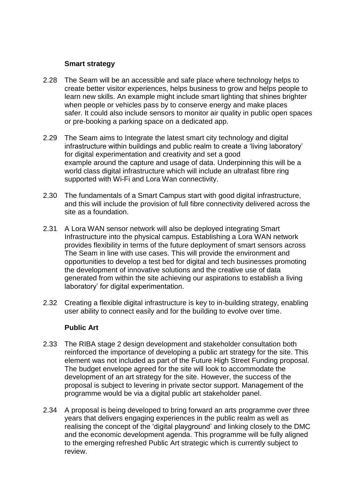#### **Smart strategy**

- 2.28 The Seam will be an accessible and safe place where technology helps to create better visitor experiences, helps business to grow and helps people to learn new skills. An example might include smart lighting that shines brighter when people or vehicles pass by to conserve energy and make places safer. It could also include sensors to monitor air quality in public open spaces or pre-booking a parking space on a dedicated app.
- 2.29 The Seam aims to Integrate the latest smart city technology and digital infrastructure within buildings and public realm to create a 'living laboratory' for digital experimentation and creativity and set a good example around the capture and usage of data. Underpinning this will be a world class digital infrastructure which will include an ultrafast fibre ring supported with Wi-Fi and Lora Wan connectivity.
- 2.30 The fundamentals of a Smart Campus start with good digital infrastructure, and this will include the provision of full fibre connectivity delivered across the site as a foundation.
- 2.31 A Lora WAN sensor network will also be deployed integrating Smart Infrastructure into the physical campus. Establishing a Lora WAN network provides flexibility in terms of the future deployment of smart sensors across The Seam in line with use cases. This will provide the environment and opportunities to develop a test bed for digital and tech businesses promoting the development of innovative solutions and the creative use of data generated from within the site achieving our aspirations to establish a living laboratory' for digital experimentation.
- 2.32 Creating a flexible digital infrastructure is key to in-building strategy, enabling user ability to connect easily and for the building to evolve over time.

#### **Public Art**

- 2.33 The RIBA stage 2 design development and stakeholder consultation both reinforced the importance of developing a public art strategy for the site. This element was not included as part of the Future High Street Funding proposal. The budget envelope agreed for the site will look to accommodate the development of an art strategy for the site. However, the success of the proposal is subject to levering in private sector support. Management of the programme would be via a digital public art stakeholder panel.
- 2.34 A proposal is being developed to bring forward an arts programme over three years that delivers engaging experiences in the public realm as well as realising the concept of the 'digital playground' and linking closely to the DMC and the economic development agenda. This programme will be fully aligned to the emerging refreshed Public Art strategic which is currently subject to review.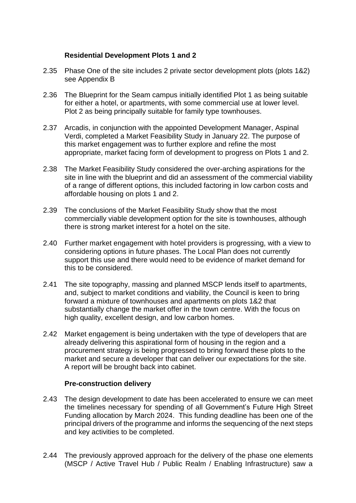### **Residential Development Plots 1 and 2**

- 2.35 Phase One of the site includes 2 private sector development plots (plots 1&2) see Appendix B
- 2.36 The Blueprint for the Seam campus initially identified Plot 1 as being suitable for either a hotel, or apartments, with some commercial use at lower level. Plot 2 as being principally suitable for family type townhouses.
- 2.37 Arcadis, in conjunction with the appointed Development Manager, Aspinal Verdi, completed a Market Feasibility Study in January 22. The purpose of this market engagement was to further explore and refine the most appropriate, market facing form of development to progress on Plots 1 and 2.
- 2.38 The Market Feasibility Study considered the over-arching aspirations for the site in line with the blueprint and did an assessment of the commercial viability of a range of different options, this included factoring in low carbon costs and affordable housing on plots 1 and 2.
- 2.39 The conclusions of the Market Feasibility Study show that the most commercially viable development option for the site is townhouses, although there is strong market interest for a hotel on the site.
- 2.40 Further market engagement with hotel providers is progressing, with a view to considering options in future phases. The Local Plan does not currently support this use and there would need to be evidence of market demand for this to be considered.
- 2.41 The site topography, massing and planned MSCP lends itself to apartments, and, subject to market conditions and viability, the Council is keen to bring forward a mixture of townhouses and apartments on plots 1&2 that substantially change the market offer in the town centre. With the focus on high quality, excellent design, and low carbon homes.
- 2.42 Market engagement is being undertaken with the type of developers that are already delivering this aspirational form of housing in the region and a procurement strategy is being progressed to bring forward these plots to the market and secure a developer that can deliver our expectations for the site. A report will be brought back into cabinet.

#### **Pre-construction delivery**

- 2.43 The design development to date has been accelerated to ensure we can meet the timelines necessary for spending of all Government's Future High Street Funding allocation by March 2024. This funding deadline has been one of the principal drivers of the programme and informs the sequencing of the next steps and key activities to be completed.
- 2.44 The previously approved approach for the delivery of the phase one elements (MSCP / Active Travel Hub / Public Realm / Enabling Infrastructure) saw a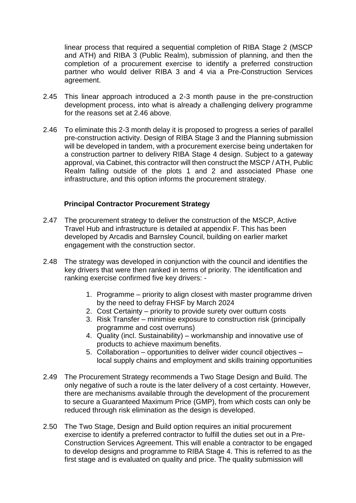linear process that required a sequential completion of RIBA Stage 2 (MSCP and ATH) and RIBA 3 (Public Realm), submission of planning, and then the completion of a procurement exercise to identify a preferred construction partner who would deliver RIBA 3 and 4 via a Pre-Construction Services agreement.

- 2.45 This linear approach introduced a 2-3 month pause in the pre-construction development process, into what is already a challenging delivery programme for the reasons set at 2.46 above.
- 2.46 To eliminate this 2-3 month delay it is proposed to progress a series of parallel pre-construction activity. Design of RIBA Stage 3 and the Planning submission will be developed in tandem, with a procurement exercise being undertaken for a construction partner to delivery RIBA Stage 4 design. Subject to a gateway approval, via Cabinet, this contractor will then construct the MSCP / ATH, Public Realm falling outside of the plots 1 and 2 and associated Phase one infrastructure, and this option informs the procurement strategy.

#### **Principal Contractor Procurement Strategy**

- 2.47 The procurement strategy to deliver the construction of the MSCP, Active Travel Hub and infrastructure is detailed at appendix F. This has been developed by Arcadis and Barnsley Council, building on earlier market engagement with the construction sector.
- 2.48 The strategy was developed in conjunction with the council and identifies the key drivers that were then ranked in terms of priority. The identification and ranking exercise confirmed five key drivers: -
	- 1. Programme priority to align closest with master programme driven by the need to defray FHSF by March 2024
	- 2. Cost Certainty priority to provide surety over outturn costs
	- 3. Risk Transfer minimise exposure to construction risk (principally programme and cost overruns)
	- 4. Quality (incl. Sustainability) workmanship and innovative use of products to achieve maximum benefits.
	- 5. Collaboration opportunities to deliver wider council objectives local supply chains and employment and skills training opportunities
- 2.49 The Procurement Strategy recommends a Two Stage Design and Build. The only negative of such a route is the later delivery of a cost certainty. However, there are mechanisms available through the development of the procurement to secure a Guaranteed Maximum Price (GMP), from which costs can only be reduced through risk elimination as the design is developed.
- 2.50 The Two Stage, Design and Build option requires an initial procurement exercise to identify a preferred contractor to fulfill the duties set out in a Pre-Construction Services Agreement. This will enable a contractor to be engaged to develop designs and programme to RIBA Stage 4. This is referred to as the first stage and is evaluated on quality and price. The quality submission will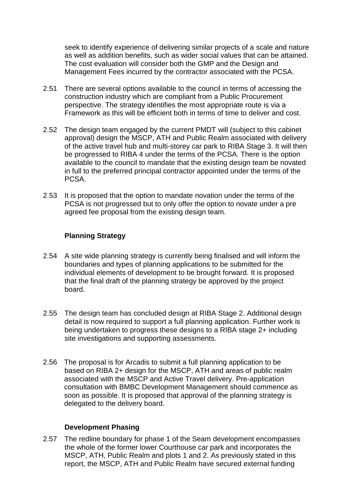seek to identify experience of delivering similar projects of a scale and nature as well as addition benefits, such as wider social values that can be attained. The cost evaluation will consider both the GMP and the Design and Management Fees incurred by the contractor associated with the PCSA.

- 2.51 There are several options available to the council in terms of accessing the construction industry which are compliant from a Public Procurement perspective. The strategy identifies the most appropriate route is via a Framework as this will be efficient both in terms of time to deliver and cost.
- 2.52 The design team engaged by the current PMDT will (subject to this cabinet approval) design the MSCP, ATH and Public Realm associated with delivery of the active travel hub and multi-storey car park to RIBA Stage 3. It will then be progressed to RIBA 4 under the terms of the PCSA. There is the option available to the council to mandate that the existing design team be novated in full to the preferred principal contractor appointed under the terms of the PCSA.
- 2.53 It is proposed that the option to mandate novation under the terms of the PCSA is not progressed but to only offer the option to novate under a pre agreed fee proposal from the existing design team.

### **Planning Strategy**

- 2.54 A site wide planning strategy is currently being finalised and will inform the boundaries and types of planning applications to be submitted for the individual elements of development to be brought forward. It is proposed that the final draft of the planning strategy be approved by the project board.
- 2.55 The design team has concluded design at RIBA Stage 2. Additional design detail is now required to support a full planning application. Further work is being undertaken to progress these designs to a RIBA stage 2+ including site investigations and supporting assessments.
- 2.56 The proposal is for Arcadis to submit a full planning application to be based on RIBA 2+ design for the MSCP, ATH and areas of public realm associated with the MSCP and Active Travel delivery. Pre-application consultation with BMBC Development Management should commence as soon as possible. It is proposed that approval of the planning strategy is delegated to the delivery board.

#### **Development Phasing**

2.57 The redline boundary for phase 1 of the Seam development encompasses the whole of the former lower Courthouse car park and incorporates the MSCP, ATH, Public Realm and plots 1 and 2. As previously stated in this report, the MSCP, ATH and Public Realm have secured external funding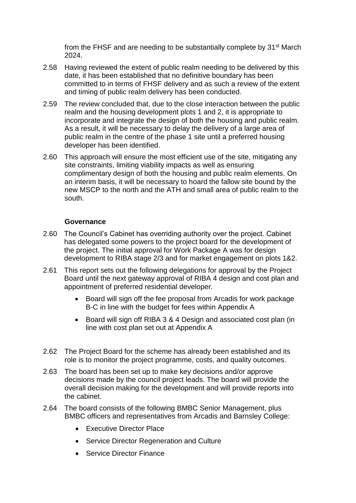from the FHSF and are needing to be substantially complete by 31st March 2024.

- 2.58 Having reviewed the extent of public realm needing to be delivered by this date, it has been established that no definitive boundary has been committed to in terms of FHSF delivery and as such a review of the extent and timing of public realm delivery has been conducted.
- 2.59 The review concluded that, due to the close interaction between the public realm and the housing development plots 1 and 2, it is appropriate to incorporate and integrate the design of both the housing and public realm. As a result, it will be necessary to delay the delivery of a large area of public realm in the centre of the phase 1 site until a preferred housing developer has been identified.
- 2.60 This approach will ensure the most efficient use of the site, mitigating any site constraints, limiting viability impacts as well as ensuring complimentary design of both the housing and public realm elements. On an interim basis, it will be necessary to hoard the fallow site bound by the new MSCP to the north and the ATH and small area of public realm to the south.

#### **Governance**

- 2.60 The Council's Cabinet has overriding authority over the project. Cabinet has delegated some powers to the project board for the development of the project. The initial approval for Work Package A was for design development to RIBA stage 2/3 and for market engagement on plots 1&2.
- 2.61 This report sets out the following delegations for approval by the Project Board until the next gateway approval of RIBA 4 design and cost plan and appointment of preferred residential developer.
	- Board will sign off the fee proposal from Arcadis for work package B-C in line with the budget for fees within Appendix A
	- Board will sign off RIBA 3 & 4 Design and associated cost plan (in line with cost plan set out at Appendix A
- 2.62 The Project Board for the scheme has already been established and its role is to monitor the project programme, costs, and quality outcomes.
- 2.63 The board has been set up to make key decisions and/or approve decisions made by the council project leads. The board will provide the overall decision making for the development and will provide reports into the cabinet.
- 2.64 The board consists of the following BMBC Senior Management, plus BMBC officers and representatives from Arcadis and Barnsley College:
	- Executive Director Place
	- Service Director Regeneration and Culture
	- Service Director Finance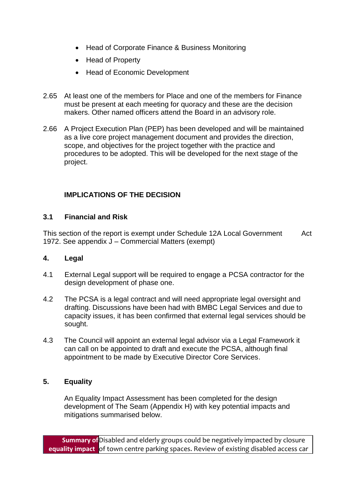- Head of Corporate Finance & Business Monitoring
- Head of Property
- Head of Economic Development
- 2.65 At least one of the members for Place and one of the members for Finance must be present at each meeting for quoracy and these are the decision makers. Other named officers attend the Board in an advisory role.
- 2.66 A Project Execution Plan (PEP) has been developed and will be maintained as a live core project management document and provides the direction, scope, and objectives for the project together with the practice and procedures to be adopted. This will be developed for the next stage of the project.

## **IMPLICATIONS OF THE DECISION**

#### **3.1 Financial and Risk**

This section of the report is exempt under Schedule 12A Local Government Act 1972. See appendix J – Commercial Matters (exempt)

#### **4. Legal**

- 4.1 External Legal support will be required to engage a PCSA contractor for the design development of phase one.
- 4.2 The PCSA is a legal contract and will need appropriate legal oversight and drafting. Discussions have been had with BMBC Legal Services and due to capacity issues, it has been confirmed that external legal services should be sought.
- 4.3 The Council will appoint an external legal advisor via a Legal Framework it can call on be appointed to draft and execute the PCSA, although final appointment to be made by Executive Director Core Services.

#### **5. Equality**

An Equality Impact Assessment has been completed for the design development of The Seam (Appendix H) with key potential impacts and mitigations summarised below.

**Summary of**  Disabled and elderly groups could be negatively impacted by closure **equality impact** of town centre parking spaces. Review of existing disabled access car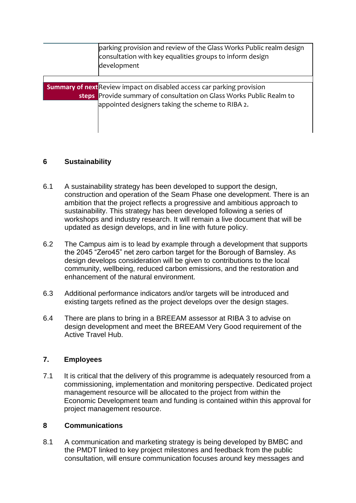| parking provision and review of the Glass Works Public realm design<br>consultation with key equalities groups to inform design<br>development |
|------------------------------------------------------------------------------------------------------------------------------------------------|
|                                                                                                                                                |
| <b>Summary of next</b> Review impact on disabled access car parking provision                                                                  |
| steps Provide summary of consultation on Glass Works Public Realm to                                                                           |
| appointed designers taking the scheme to RIBA 2.                                                                                               |
|                                                                                                                                                |
|                                                                                                                                                |
|                                                                                                                                                |

### **6 Sustainability**

- 6.1 A sustainability strategy has been developed to support the design, construction and operation of the Seam Phase one development. There is an ambition that the project reflects a progressive and ambitious approach to sustainability. This strategy has been developed following a series of workshops and industry research. It will remain a live document that will be updated as design develops, and in line with future policy.
- 6.2 The Campus aim is to lead by example through a development that supports the 2045 "Zero45" net zero carbon target for the Borough of Barnsley. As design develops consideration will be given to contributions to the local community, wellbeing, reduced carbon emissions, and the restoration and enhancement of the natural environment.
- 6.3 Additional performance indicators and/or targets will be introduced and existing targets refined as the project develops over the design stages.
- 6.4 There are plans to bring in a BREEAM assessor at RIBA 3 to advise on design development and meet the BREEAM Very Good requirement of the Active Travel Hub.

## **7. Employees**

7.1 It is critical that the delivery of this programme is adequately resourced from a commissioning, implementation and monitoring perspective. Dedicated project management resource will be allocated to the project from within the Economic Development team and funding is contained within this approval for project management resource.

#### **8 Communications**

8.1 A communication and marketing strategy is being developed by BMBC and the PMDT linked to key project milestones and feedback from the public consultation, will ensure communication focuses around key messages and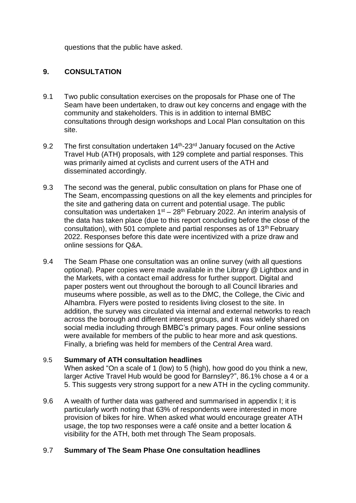questions that the public have asked.

### **9. CONSULTATION**

- 9.1 Two public consultation exercises on the proposals for Phase one of The Seam have been undertaken, to draw out key concerns and engage with the community and stakeholders. This is in addition to internal BMBC consultations through design workshops and Local Plan consultation on this site.
- 9.2 The first consultation undertaken 14<sup>th</sup>-23<sup>rd</sup> January focused on the Active Travel Hub (ATH) proposals, with 129 complete and partial responses. This was primarily aimed at cyclists and current users of the ATH and disseminated accordingly.
- 9.3 The second was the general, public consultation on plans for Phase one of The Seam, encompassing questions on all the key elements and principles for the site and gathering data on current and potential usage. The public consultation was undertaken  $1<sup>st</sup> - 28<sup>th</sup>$  February 2022. An interim analysis of the data has taken place (due to this report concluding before the close of the consultation), with 501 complete and partial responses as of  $13<sup>th</sup>$  February 2022. Responses before this date were incentivized with a prize draw and online sessions for Q&A.
- 9.4 The Seam Phase one consultation was an online survey (with all questions optional). Paper copies were made available in the Library @ Lightbox and in the Markets, with a contact email address for further support. Digital and paper posters went out throughout the borough to all Council libraries and museums where possible, as well as to the DMC, the College, the Civic and Alhambra. Flyers were posted to residents living closest to the site. In addition, the survey was circulated via internal and external networks to reach across the borough and different interest groups, and it was widely shared on social media including through BMBC's primary pages. Four online sessions were available for members of the public to hear more and ask questions. Finally, a briefing was held for members of the Central Area ward.

#### 9.5 **Summary of ATH consultation headlines**

When asked "On a scale of 1 (low) to 5 (high), how good do you think a new, larger Active Travel Hub would be good for Barnsley?", 86.1% chose a 4 or a 5. This suggests very strong support for a new ATH in the cycling community.

9.6 A wealth of further data was gathered and summarised in appendix I; it is particularly worth noting that 63% of respondents were interested in more provision of bikes for hire. When asked what would encourage greater ATH usage, the top two responses were a café onsite and a better location & visibility for the ATH, both met through The Seam proposals.

#### 9.7 **Summary of The Seam Phase One consultation headlines**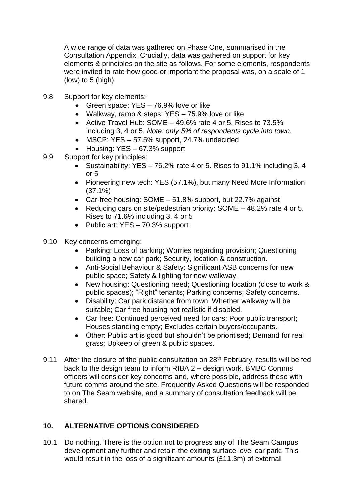A wide range of data was gathered on Phase One, summarised in the Consultation Appendix. Crucially, data was gathered on support for key elements & principles on the site as follows. For some elements, respondents were invited to rate how good or important the proposal was, on a scale of 1 (low) to 5 (high).

- 9.8 Support for key elements:
	- Green space: YES 76.9% love or like
	- Walkway, ramp & steps: YES 75.9% love or like
	- Active Travel Hub: SOME  $-$  49.6% rate 4 or 5. Rises to 73.5% including 3, 4 or 5. *Note: only 5% of respondents cycle into town.*
	- MSCP: YES 57.5% support, 24.7% undecided
	- Housing: YES 67.3% support
- 9.9 Support for key principles:
	- Sustainability: YES  $-76.2\%$  rate 4 or 5. Rises to 91.1% including 3, 4 or 5
	- Pioneering new tech: YES (57.1%), but many Need More Information (37.1%)
	- Car-free housing: SOME 51.8% support, but 22.7% against
	- Reducing cars on site/pedestrian priority: SOME 48.2% rate 4 or 5. Rises to 71.6% including 3, 4 or 5
	- Public art: YES 70.3% support
- 9.10 Key concerns emerging:
	- Parking: Loss of parking; Worries regarding provision; Questioning building a new car park; Security, location & construction.
	- Anti-Social Behaviour & Safety: Significant ASB concerns for new public space; Safety & lighting for new walkway.
	- New housing: Questioning need; Questioning location (close to work & public spaces); "Right" tenants; Parking concerns; Safety concerns.
	- Disability: Car park distance from town; Whether walkway will be suitable; Car free housing not realistic if disabled.
	- Car free: Continued perceived need for cars; Poor public transport; Houses standing empty; Excludes certain buyers/occupants.
	- Other: Public art is good but shouldn't be prioritised; Demand for real grass; Upkeep of green & public spaces.
- 9.11 After the closure of the public consultation on  $28<sup>th</sup>$  February, results will be fed back to the design team to inform RIBA 2 + design work. BMBC Comms officers will consider key concerns and, where possible, address these with future comms around the site. Frequently Asked Questions will be responded to on The Seam website, and a summary of consultation feedback will be shared.

## **10. ALTERNATIVE OPTIONS CONSIDERED**

10.1 Do nothing. There is the option not to progress any of The Seam Campus development any further and retain the exiting surface level car park. This would result in the loss of a significant amounts (£11.3m) of external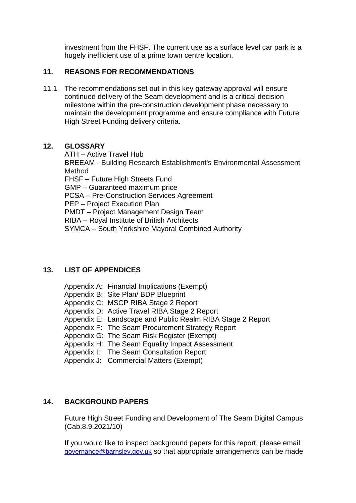investment from the FHSF. The current use as a surface level car park is a hugely inefficient use of a prime town centre location.

### **11. REASONS FOR RECOMMENDATIONS**

11.1 The recommendations set out in this key gateway approval will ensure continued delivery of the Seam development and is a critical decision milestone within the pre-construction development phase necessary to maintain the development programme and ensure compliance with Future High Street Funding delivery criteria.

### **12. GLOSSARY**

ATH – Active Travel Hub BREEAM - Building Research Establishment's Environmental Assessment Method FHSF – Future High Streets Fund GMP – Guaranteed maximum price PCSA – Pre-Construction Services Agreement PEP – Project Execution Plan PMDT – Project Management Design Team RIBA – Royal Institute of British Architects SYMCA – South Yorkshire Mayoral Combined Authority

## **13. LIST OF APPENDICES**

| Appendix A: Financial Implications (Exempt)<br>Appendix B: Site Plan/ BDP Blueprint<br>Appendix C: MSCP RIBA Stage 2 Report<br>Appendix D: Active Travel RIBA Stage 2 Report<br>Appendix E: Landscape and Public Realm RIBA Stage 2 Report |
|--------------------------------------------------------------------------------------------------------------------------------------------------------------------------------------------------------------------------------------------|
| Appendix F: The Seam Procurement Strategy Report                                                                                                                                                                                           |
| Appendix G: The Seam Risk Register (Exempt)<br>Appendix H: The Seam Equality Impact Assessment<br>Appendix I: The Seam Consultation Report                                                                                                 |
| Appendix J: Commercial Matters (Exempt)                                                                                                                                                                                                    |
|                                                                                                                                                                                                                                            |

# **14. BACKGROUND PAPERS**

[Future High Street Funding and Development of The Seam Digital Campus](https://barnsleymbc.moderngov.co.uk/documents/s86157/Future%20High%20Street%20Funding%20and%20Development%20of%20The%20Seam%20Digital%20Campus.pdf)  (Cab.8.9.2021/10)

If you would like to inspect background papers for this report, please email [governance@barnsley.gov.uk](mailto:governance@barnsley.gov.uk) so that appropriate arrangements can be made